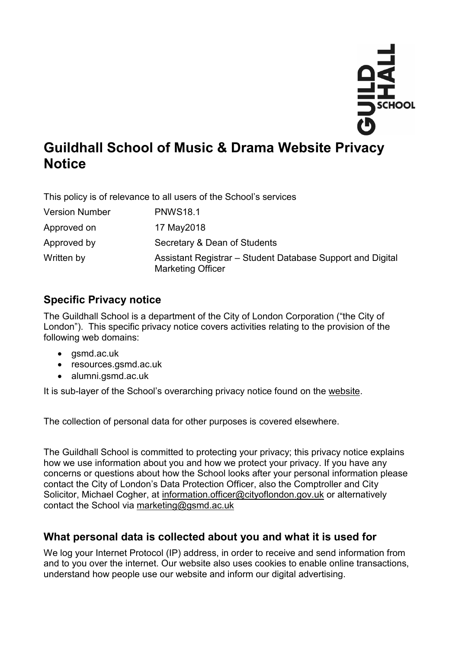

# **Guildhall School of Music & Drama Website Privacy Notice**

This policy is of relevance to all users of the School's services

| <b>Version Number</b> | <b>PNWS18.1</b>                                                                        |
|-----------------------|----------------------------------------------------------------------------------------|
| Approved on           | 17 May 2018                                                                            |
| Approved by           | Secretary & Dean of Students                                                           |
| Written by            | Assistant Registrar – Student Database Support and Digital<br><b>Marketing Officer</b> |

# **Specific Privacy notice**

The Guildhall School is a department of the City of London Corporation ("the City of London"). This specific privacy notice covers activities relating to the provision of the following web domains:

- gsmd.ac.uk
- resources.gsmd.ac.uk
- alumni.gsmd.ac.uk

It is sub-layer of the School's overarching privacy notice found on the [website.](https://www.gsmd.ac.uk/privacy)

The collection of personal data for other purposes is covered elsewhere.

The Guildhall School is committed to protecting your privacy; this privacy notice explains how we use information about you and how we protect your privacy. If you have any concerns or questions about how the School looks after your personal information please contact the City of London's Data Protection Officer, also the Comptroller and City Solicitor, Michael Cogher, at [information.officer@cityoflondon.gov.uk](mailto:information.officer@cityoflondon.gov.uk) or alternatively contact the School via [marketing@gsmd.ac.uk](mailto:marketing@gsmd.ac.uk)

# **What personal data is collected about you and what it is used for**

We log your Internet Protocol (IP) address, in order to receive and send information from and to you over the internet. Our website also uses cookies to enable online transactions, understand how people use our website and inform our digital advertising.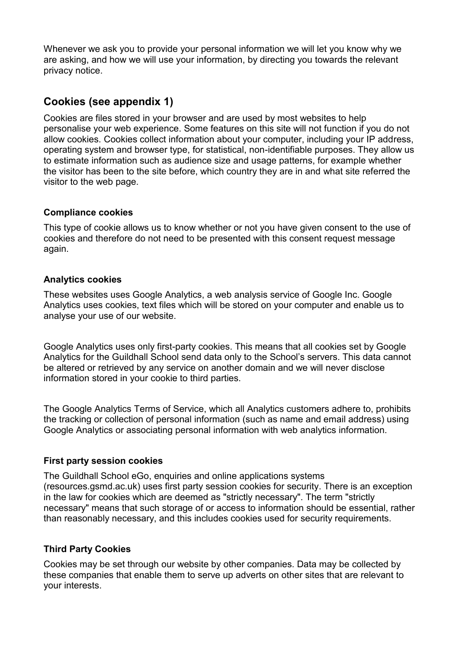Whenever we ask you to provide your personal information we will let you know why we are asking, and how we will use your information, by directing you towards the relevant privacy notice.

## **Cookies (see appendix 1)**

Cookies are files stored in your browser and are used by most websites to help personalise your web experience. Some features on this site will not function if you do not allow cookies. Cookies collect information about your computer, including your IP address, operating system and browser type, for statistical, non-identifiable purposes. They allow us to estimate information such as audience size and usage patterns, for example whether the visitor has been to the site before, which country they are in and what site referred the visitor to the web page.

#### **Compliance cookies**

This type of cookie allows us to know whether or not you have given consent to the use of cookies and therefore do not need to be presented with this consent request message again.

#### **Analytics cookies**

These websites uses Google Analytics, a web analysis service of Google Inc. Google Analytics uses cookies, text files which will be stored on your computer and enable us to analyse your use of our website.

Google Analytics uses only first-party cookies. This means that all cookies set by Google Analytics for the Guildhall School send data only to the School's servers. This data cannot be altered or retrieved by any service on another domain and we will never disclose information stored in your cookie to third parties.

The Google Analytics Terms of Service, which all Analytics customers adhere to, prohibits the tracking or collection of personal information (such as name and email address) using Google Analytics or associating personal information with web analytics information.

#### **First party session cookies**

The Guildhall School eGo, enquiries and online applications systems (resources.gsmd.ac.uk) uses first party session cookies for security. There is an exception in the law for cookies which are deemed as "strictly necessary". The term "strictly necessary" means that such storage of or access to information should be essential, rather than reasonably necessary, and this includes cookies used for security requirements.

#### **Third Party Cookies**

Cookies may be set through our website by other companies. Data may be collected by these companies that enable them to serve up adverts on other sites that are relevant to your interests.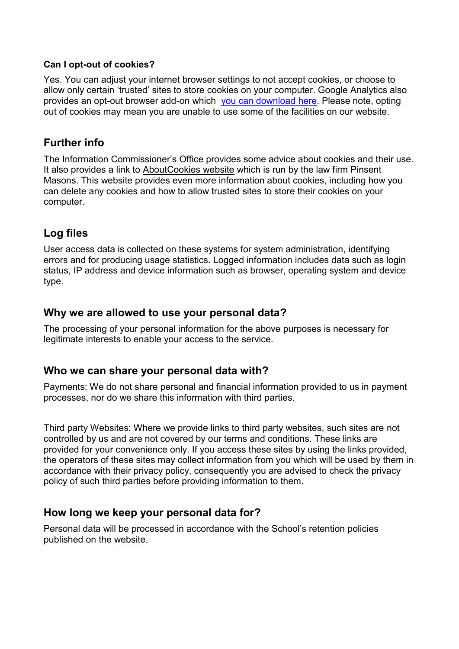#### **Can I opt-out of cookies?**

Yes. You can adjust your internet browser settings to not accept cookies, or choose to allow only certain 'trusted' sites to store cookies on your computer. Google Analytics also provides an opt-out browser add-on which [you can download](https://tools.google.com/dlpage/gaoptout?hl=None) here. Please note, opting out of cookies may mean you are unable to use some of the facilities on our website.

### **Further info**

The Information Commissioner's Office provides some advice about cookies and their use. It also provides a link to [AboutCookies website](http://www.aboutcookies.org/) which is run by the law firm Pinsent Masons. This website provides even more information about cookies, including how you can delete any cookies and how to allow trusted sites to store their cookies on your computer.

# **Log files**

User access data is collected on these systems for system administration, identifying errors and for producing usage statistics. Logged information includes data such as login status, IP address and device information such as browser, operating system and device type.

### **Why we are allowed to use your personal data?**

The processing of your personal information for the above purposes is necessary for legitimate interests to enable your access to the service.

### **Who we can share your personal data with?**

Payments: We do not share personal and financial information provided to us in payment processes, nor do we share this information with third parties.

Third party Websites: Where we provide links to third party websites, such sites are not controlled by us and are not covered by our terms and conditions. These links are provided for your convenience only. If you access these sites by using the links provided, the operators of these sites may collect information from you which will be used by them in accordance with their privacy policy, consequently you are advised to check the privacy policy of such third parties before providing information to them.

### **How long we keep your personal data for?**

Personal data will be processed in accordance with the School's retention policies published on the [website.](https://www.gsmd.ac.uk/privacy)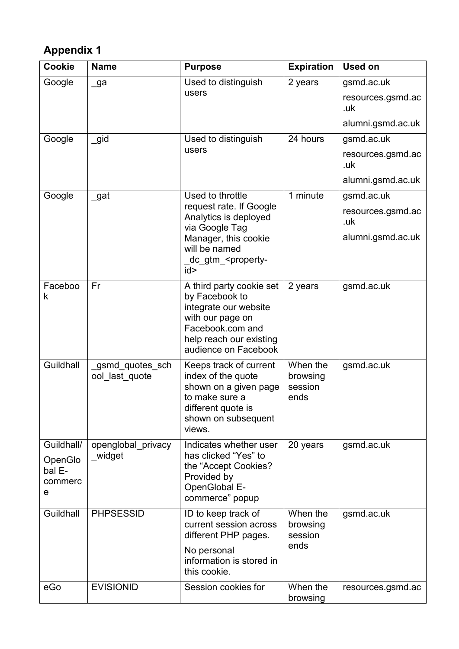# **Appendix 1**

| Cookie                            | <b>Name</b>                        | <b>Purpose</b>                                                                                                                                                 | <b>Expiration</b>                       | <b>Used on</b>                  |
|-----------------------------------|------------------------------------|----------------------------------------------------------------------------------------------------------------------------------------------------------------|-----------------------------------------|---------------------------------|
| Google                            | _ga                                | Used to distinguish<br>users                                                                                                                                   | 2 years                                 | gsmd.ac.uk<br>resources.gsmd.ac |
|                                   |                                    |                                                                                                                                                                |                                         | .uk                             |
|                                   |                                    |                                                                                                                                                                |                                         | alumni.gsmd.ac.uk               |
| Google                            | $\_$ gid                           | Used to distinguish<br>users                                                                                                                                   | 24 hours                                | gsmd.ac.uk                      |
|                                   |                                    |                                                                                                                                                                |                                         | resources.gsmd.ac<br>.uk        |
|                                   |                                    |                                                                                                                                                                |                                         | alumni.gsmd.ac.uk               |
| Google                            | $\_$ gat                           | Used to throttle                                                                                                                                               | 1 minute                                | gsmd.ac.uk                      |
|                                   |                                    | request rate. If Google<br>Analytics is deployed<br>via Google Tag                                                                                             |                                         | resources.gsmd.ac<br>.uk        |
|                                   |                                    | Manager, this cookie<br>will be named<br>dc_gtm_ <property-< td=""><td></td><td>alumni.gsmd.ac.uk</td></property-<>                                            |                                         | alumni.gsmd.ac.uk               |
|                                   |                                    | id>                                                                                                                                                            |                                         |                                 |
| Faceboo<br>k                      | Fr                                 | A third party cookie set<br>by Facebook to<br>integrate our website<br>with our page on<br>Facebook.com and<br>help reach our existing<br>audience on Facebook | 2 years                                 | gsmd.ac.uk                      |
| Guildhall                         | _gsmd_quotes_sch<br>ool last quote | Keeps track of current<br>index of the quote<br>shown on a given page<br>to make sure a<br>different quote is<br>shown on subsequent<br>views.                 | When the<br>browsing<br>session<br>ends | gsmd.ac.uk                      |
| Guildhall/                        | openglobal privacy                 | Indicates whether user                                                                                                                                         | 20 years                                | gsmd.ac.uk                      |
| OpenGlo<br>bal E-<br>commerc<br>e | _widget                            | has clicked "Yes" to<br>the "Accept Cookies?<br>Provided by<br>OpenGlobal E-<br>commerce" popup                                                                |                                         |                                 |
| Guildhall                         | <b>PHPSESSID</b>                   | ID to keep track of                                                                                                                                            | When the                                | gsmd.ac.uk                      |
|                                   |                                    | current session across<br>different PHP pages.                                                                                                                 | browsing<br>session                     |                                 |
|                                   |                                    | No personal<br>information is stored in<br>this cookie.                                                                                                        | ends                                    |                                 |
| eGo                               | <b>EVISIONID</b>                   | Session cookies for                                                                                                                                            | When the<br>browsing                    | resources.gsmd.ac               |